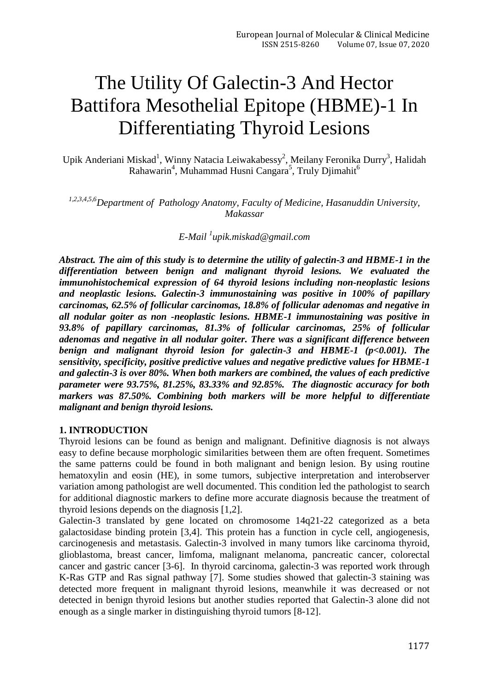# The Utility Of Galectin-3 And Hector Battifora Mesothelial Epitope (HBME)-1 In Differentiating Thyroid Lesions

Upik Anderiani Miskad<sup>1</sup>, Winny Natacia Leiwakabessy<sup>2</sup>, Meilany Feronika Durry<sup>3</sup>, Halidah Rahawarin<sup>4</sup>, Muhammad Husni Cangara<sup>5</sup>, Truly Djimahit<sup>6</sup>

*1,2,3,4,5,6Department of Pathology Anatomy, Faculty of Medicine, Hasanuddin University, Makassar*

*E-Mail <sup>1</sup> upik.miskad@gmail.com*

*Abstract. The aim of this study is to determine the utility of galectin-3 and HBME-1 in the differentiation between benign and malignant thyroid lesions. We evaluated the immunohistochemical expression of 64 thyroid lesions including non-neoplastic lesions and neoplastic lesions. Galectin-3 immunostaining was positive in 100% of papillary carcinomas, 62.5% of follicular carcinomas, 18.8% of follicular adenomas and negative in all nodular goiter as non -neoplastic lesions. HBME-1 immunostaining was positive in 93.8% of papillary carcinomas, 81.3% of follicular carcinomas, 25% of follicular adenomas and negative in all nodular goiter. There was a significant difference between benign and malignant thyroid lesion for galectin-3 and HBME-1 (p<0.001). The sensitivity, specificity, positive predictive values and negative predictive values for HBME-1 and galectin-3 is over 80%. When both markers are combined, the values of each predictive parameter were 93.75%, 81.25%, 83.33% and 92.85%. The diagnostic accuracy for both markers was 87.50%. Combining both markers will be more helpful to differentiate malignant and benign thyroid lesions.*

#### **1. INTRODUCTION**

Thyroid lesions can be found as benign and malignant. Definitive diagnosis is not always easy to define because morphologic similarities between them are often frequent. Sometimes the same patterns could be found in both malignant and benign lesion. By using routine hematoxylin and eosin (HE), in some tumors, subjective interpretation and interobserver variation among pathologist are well documented. This condition led the pathologist to search for additional diagnostic markers to define more accurate diagnosis because the treatment of thyroid lesions depends on the diagnosis [1,2].

Galectin-3 translated by gene located on chromosome 14q21-22 categorized as a beta galactosidase binding protein [3,4]. This protein has a function in cycle cell, angiogenesis, carcinogenesis and metastasis. Galectin-3 involved in many tumors like carcinoma thyroid, glioblastoma, breast cancer, limfoma, malignant melanoma, pancreatic cancer, colorectal cancer and gastric cancer [3-6]. In thyroid carcinoma, galectin-3 was reported work through K-Ras GTP and Ras signal pathway [7]. Some studies showed that galectin-3 staining was detected more frequent in malignant thyroid lesions, meanwhile it was decreased or not detected in benign thyroid lesions but another studies reported that Galectin-3 alone did not enough as a single marker in distinguishing thyroid tumors [8-12].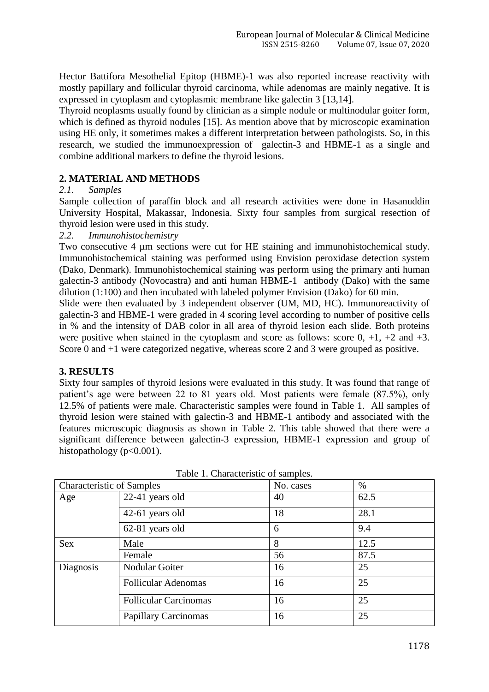Hector Battifora Mesothelial Epitop (HBME)-1 was also reported increase reactivity with mostly papillary and follicular thyroid carcinoma, while adenomas are mainly negative. It is expressed in cytoplasm and cytoplasmic membrane like galectin 3 [13,14].

Thyroid neoplasms usually found by clinician as a simple nodule or multinodular goiter form, which is defined as thyroid nodules [15]. As mention above that by microscopic examination using HE only, it sometimes makes a different interpretation between pathologists. So, in this research, we studied the immunoexpression of galectin-3 and HBME-1 as a single and combine additional markers to define the thyroid lesions.

# **2. MATERIAL AND METHODS**

### *2.1. Samples*

Sample collection of paraffin block and all research activities were done in Hasanuddin University Hospital, Makassar, Indonesia. Sixty four samples from surgical resection of thyroid lesion were used in this study.

### *2.2. Immunohistochemistry*

Two consecutive 4  $\mu$ m sections were cut for HE staining and immunohistochemical study. Immunohistochemical staining was performed using Envision peroxidase detection system (Dako, Denmark). Immunohistochemical staining was perform using the primary anti human galectin-3 antibody (Novocastra) and anti human HBME-1 antibody (Dako) with the same dilution (1:100) and then incubated with labeled polymer Envision (Dako) for 60 min.

Slide were then evaluated by 3 independent observer (UM, MD, HC). Immunoreactivity of galectin-3 and HBME-1 were graded in 4 scoring level according to number of positive cells in % and the intensity of DAB color in all area of thyroid lesion each slide. Both proteins were positive when stained in the cytoplasm and score as follows: score  $0, +1, +2$  and  $+3$ . Score 0 and  $+1$  were categorized negative, whereas score 2 and 3 were grouped as positive.

# **3. RESULTS**

Sixty four samples of thyroid lesions were evaluated in this study. It was found that range of patient's age were between 22 to 81 years old. Most patients were female (87.5%), only 12.5% of patients were male. Characteristic samples were found in Table 1. All samples of thyroid lesion were stained with galectin-3 and HBME-1 antibody and associated with the features microscopic diagnosis as shown in Table 2. This table showed that there were a significant difference between galectin-3 expression, HBME-1 expression and group of histopathology ( $p<0.001$ ).

| <b>Characteristic of Samples</b> |                              | No. cases | $\%$ |
|----------------------------------|------------------------------|-----------|------|
| Age                              | 22-41 years old              | 40        | 62.5 |
|                                  | 42-61 years old              | 18        | 28.1 |
|                                  | 62-81 years old              | 6         | 9.4  |
| <b>Sex</b>                       | Male                         | 8         | 12.5 |
|                                  | Female                       | 56        | 87.5 |
| Diagnosis                        | Nodular Goiter               | 16        | 25   |
|                                  | <b>Follicular Adenomas</b>   | 16        | 25   |
|                                  | <b>Follicular Carcinomas</b> | 16        | 25   |
|                                  | <b>Papillary Carcinomas</b>  | 16        | 25   |

Table 1. Characteristic of samples.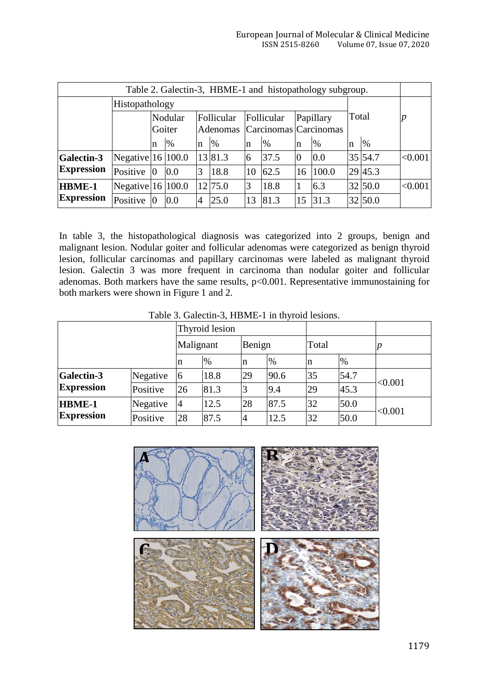$\overline{\phantom{a}}$ 

| Table 2. Galectin-3, HBME-1 and histopathology subgroup. |                     |   |                   |                                                                         |         |       |      |                |       |    |         |         |
|----------------------------------------------------------|---------------------|---|-------------------|-------------------------------------------------------------------------|---------|-------|------|----------------|-------|----|---------|---------|
|                                                          | Histopathology      |   |                   |                                                                         |         |       |      |                |       |    |         |         |
|                                                          |                     |   | Nodular<br>Goiter | Follicular<br>Follicular<br>Papillary<br>Adenomas Carcinomas Carcinomas |         | Total |      |                |       |    |         |         |
|                                                          |                     | n | $\%$              | $\mathbf n$                                                             | $\%$    | n     | %    | In             | $\%$  | In | $\%$    |         |
| <b>Galectin-3</b>                                        | Negative $16 100.0$ |   |                   |                                                                         | 13 81.3 | 6     | 37.5 | $\overline{0}$ | 0.0   |    | 35 54.7 | < 0.001 |
| <b>Expression</b>                                        | Positive            | Ю | 0.0               | 3                                                                       | 18.8    | 10    | 62.5 | 16             | 100.0 |    | 29 45.3 |         |
| <b>HBME-1</b>                                            | Negative $16 100.0$ |   |                   |                                                                         | 12 75.0 | 3     | 18.8 |                | 6.3   |    | 32 50.0 | < 0.001 |
| <b>Expression</b>                                        | Positive            | Ю | 0.0               | $\overline{4}$                                                          | 25.0    | 13    | 81.3 | 15             | 31.3  |    | 32 50.0 |         |

In table 3, the histopathological diagnosis was categorized into 2 groups, benign and malignant lesion. Nodular goiter and follicular adenomas were categorized as benign thyroid lesion, follicular carcinomas and papillary carcinomas were labeled as malignant thyroid lesion. Galectin 3 was more frequent in carcinoma than nodular goiter and follicular adenomas. Both markers have the same results, p<0.001. Representative immunostaining for both markers were shown in Figure 1 and 2.

Table 3. Galectin-3, HBME-1 in thyroid lesions.

 $\mathbf{r}$ 

|                                        |          |                | Thyroid lesion |        |      |       |      |         |  |
|----------------------------------------|----------|----------------|----------------|--------|------|-------|------|---------|--|
|                                        |          | Malignant      |                | Benign |      | Total |      |         |  |
|                                        |          | n              | $\%$           | n      | $\%$ | n     | %    |         |  |
| <b>Galectin-3</b><br><b>Expression</b> | Negative | 6              | 18.8           | 29     | 90.6 | 35    | 54.7 | < 0.001 |  |
|                                        | Positive | 26             | 81.3           | 3      | 9.4  | 29    | 45.3 |         |  |
| <b>HBME-1</b>                          | Negative | $\overline{4}$ | 12.5           | 28     | 87.5 | 32    | 50.0 | < 0.001 |  |
| <b>Expression</b>                      | Positive | 28             | 87.5           | 4      | 12.5 | 32    | 50.0 |         |  |

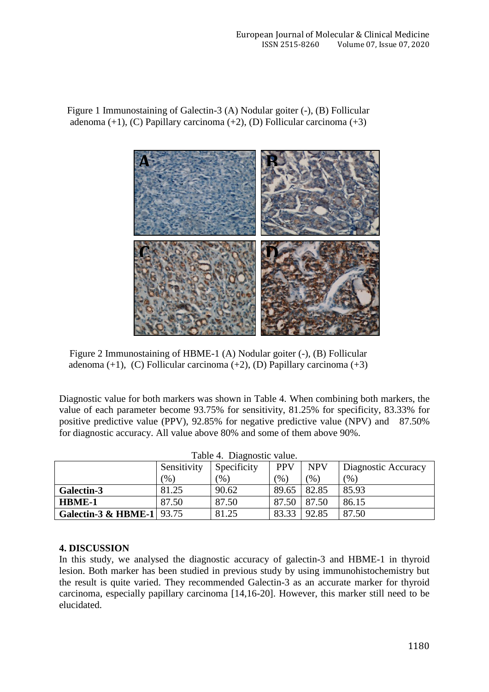Figure 1 Immunostaining of Galectin-3 (A) Nodular goiter (-), (B) Follicular adenoma (+1), (C) Papillary carcinoma (+2), (D) Follicular carcinoma (+3)



Figure 2 Immunostaining of HBME-1 (A) Nodular goiter (-), (B) Follicular adenoma  $(+1)$ ,  $(C)$  Follicular carcinoma  $(+2)$ ,  $(D)$  Papillary carcinoma  $(+3)$ 

Diagnostic value for both markers was shown in Table 4. When combining both markers, the value of each parameter become 93.75% for sensitivity, 81.25% for specificity, 83.33% for positive predictive value (PPV), 92.85% for negative predictive value (NPV) and 87.50% for diagnostic accuracy. All value above 80% and some of them above 90%.

| Table 4. Diagnostic value.           |               |             |                          |       |                     |  |  |  |
|--------------------------------------|---------------|-------------|--------------------------|-------|---------------------|--|--|--|
|                                      | Sensitivity   | Specificity | <b>NPV</b><br><b>PPV</b> |       | Diagnostic Accuracy |  |  |  |
|                                      | $\frac{9}{6}$ | (%)         | $(\% )$                  | (% )  | (% )                |  |  |  |
| Galectin-3                           | 81.25         | 90.62       | 89.65                    | 82.85 | 85.93               |  |  |  |
| <b>HBME-1</b>                        | 87.50         | 87.50       | 87.50                    | 87.50 | 86.15               |  |  |  |
| <b>Galectin-3 &amp; HBME-1</b> 93.75 |               | 81.25       | 83.33                    | 92.85 | 87.50               |  |  |  |

### **4. DISCUSSION**

In this study, we analysed the diagnostic accuracy of galectin-3 and HBME-1 in thyroid lesion. Both marker has been studied in previous study by using immunohistochemistry but the result is quite varied. They recommended Galectin-3 as an accurate marker for thyroid carcinoma, especially papillary carcinoma [14,16-20]. However, this marker still need to be elucidated.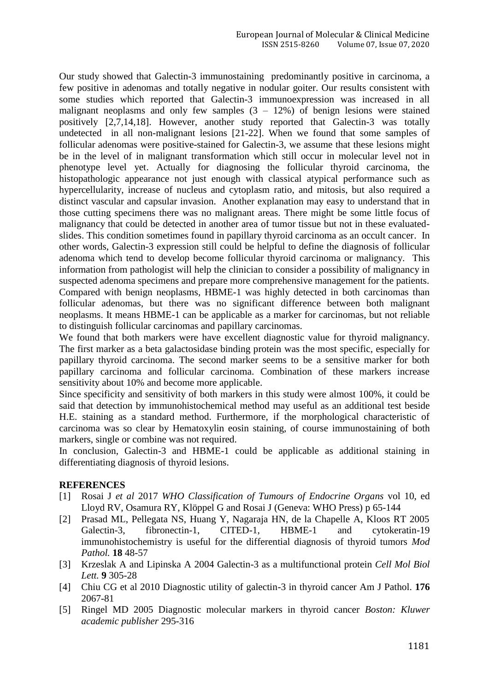Our study showed that Galectin-3 immunostaining predominantly positive in carcinoma, a few positive in adenomas and totally negative in nodular goiter. Our results consistent with some studies which reported that Galectin-3 immunoexpression was increased in all malignant neoplasms and only few samples  $(3 - 12\%)$  of benign lesions were stained positively [2,7,14,18]. However, another study reported that Galectin-3 was totally undetected in all non-malignant lesions [21-22]. When we found that some samples of follicular adenomas were positive-stained for Galectin-3, we assume that these lesions might be in the level of in malignant transformation which still occur in molecular level not in phenotype level yet. Actually for diagnosing the follicular thyroid carcinoma, the histopathologic appearance not just enough with classical atypical performance such as hypercellularity, increase of nucleus and cytoplasm ratio, and mitosis, but also required a distinct vascular and capsular invasion. Another explanation may easy to understand that in those cutting specimens there was no malignant areas. There might be some little focus of malignancy that could be detected in another area of tumor tissue but not in these evaluatedslides. This condition sometimes found in papillary thyroid carcinoma as an occult cancer. In other words, Galectin-3 expression still could be helpful to define the diagnosis of follicular adenoma which tend to develop become follicular thyroid carcinoma or malignancy. This information from pathologist will help the clinician to consider a possibility of malignancy in suspected adenoma specimens and prepare more comprehensive management for the patients. Compared with benign neoplasms, HBME-1 was highly detected in both carcinomas than follicular adenomas, but there was no significant difference between both malignant neoplasms. It means HBME-1 can be applicable as a marker for carcinomas, but not reliable to distinguish follicular carcinomas and papillary carcinomas.

We found that both markers were have excellent diagnostic value for thyroid malignancy. The first marker as a beta galactosidase binding protein was the most specific, especially for papillary thyroid carcinoma. The second marker seems to be a sensitive marker for both papillary carcinoma and follicular carcinoma. Combination of these markers increase sensitivity about 10% and become more applicable.

Since specificity and sensitivity of both markers in this study were almost 100%, it could be said that detection by immunohistochemical method may useful as an additional test beside H.E. staining as a standard method. Furthermore, if the morphological characteristic of carcinoma was so clear by Hematoxylin eosin staining, of course immunostaining of both markers, single or combine was not required.

In conclusion, Galectin-3 and HBME-1 could be applicable as additional staining in differentiating diagnosis of thyroid lesions.

#### **REFERENCES**

- [1] Rosai J *et al* 2017 *WHO Classification of Tumours of Endocrine Organs* vol 10, ed Lloyd RV, Osamura RY, Klöppel G and Rosai J (Geneva: WHO Press) p 65-144
- [2] Prasad ML, Pellegata NS, Huang Y, Nagaraja HN, de la Chapelle A, Kloos RT 2005 Galectin-3, fibronectin-1, CITED-1, HBME-1 and cytokeratin-19 immunohistochemistry is useful for the differential diagnosis of thyroid tumors *Mod Pathol.* **18** 48-57
- [3] Krzeslak A and Lipinska A 2004 Galectin-3 as a multifunctional protein *Cell Mol Biol Lett.* **9** 305-28
- [4] Chiu CG et al 2010 Diagnostic utility of galectin-3 in thyroid cancer Am J Pathol. **176**  2067-81
- [5] Ringel MD 2005 Diagnostic molecular markers in thyroid cancer *Boston: Kluwer academic publisher* 295-316